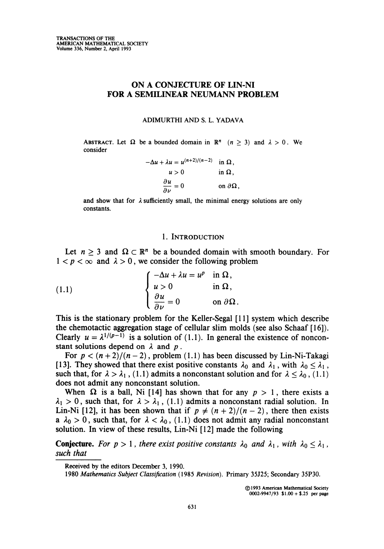# ON A CONJECTURE OF LIN-NI FOR A SEMILINEAR NEUMANN PROBLEM

#### ADIMURTHI and s. L. YADAVA

ABSTRACT. Let  $\Omega$  be a bounded domain in  $\mathbb{R}^n$  ( $n \geq 3$ ) and  $\lambda > 0$ . We consider

$$
-\Delta u + \lambda u = u^{(n+2)/(n-2)} \quad \text{in } \Omega,
$$
  

$$
u > 0 \qquad \text{in } \Omega,
$$
  

$$
\frac{\partial u}{\partial \nu} = 0 \qquad \text{on } \partial \Omega.
$$

and show that for  $\lambda$  sufficiently small, the minimal energy solutions are only constants.

## 1. Introduction

Let  $n \geq 3$  and  $\Omega \subset \mathbb{R}^n$  be a bounded domain with smooth boundary. For  $1 < p < \infty$  and  $\lambda > 0$ , we consider the following problem

(1.1) 
$$
\begin{cases}\n-\Delta u + \lambda u = u^p & \text{in } \Omega, \\
u > 0 & \text{in } \Omega, \\
\frac{\partial u}{\partial \nu} = 0 & \text{on } \partial \Omega.\n\end{cases}
$$

This is the stationary problem for the Keller-Segal [11] system which describe the chemotactic aggregation stage of cellular slim molds (see also Schaaf [16]). Clearly  $u = \lambda^{1/(p-1)}$  is a solution of (1.1). In general the existence of nonconstant solutions depend on  $\lambda$  and  $p$ .

For  $p < (n+2)/(n-2)$ , problem (1.1) has been discussed by Lin-Ni-Takagi [13]. They showed that there exist positive constants  $\lambda_0$  and  $\lambda_1$ , with  $\lambda_0 \leq \lambda_1$ , such that, for  $\lambda > \lambda_1$ , (1.1) admits a nonconstant solution and for  $\lambda \leq \lambda_0$ , (1.1) does not admit any nonconstant solution.

When  $\Omega$  is a ball, Ni [14] has shown that for any  $p > 1$ , there exists a  $\lambda_1 > 0$ , such that, for  $\lambda > \lambda_1$ , (1.1) admits a nonconstant radial solution. In Lin-Ni [12], it has been shown that if  $p \neq (n+2)/(n-2)$ , there then exists a  $\lambda_0 > 0$ , such that, for  $\lambda < \lambda_0$ , (1.1) does not admit any radial nonconstant solution. In view of these results, Lin-Ni [12] made the following

**Conjecture.** For  $p > 1$ , there exist positive constants  $\lambda_0$  and  $\lambda_1$ , with  $\lambda_0 \leq \lambda_1$ , such that

Received by the editors December 3, 1990.

<sup>1980</sup> Mathematics Subject Classification (1985 Revision). Primary 35J25; Secondary 35P30.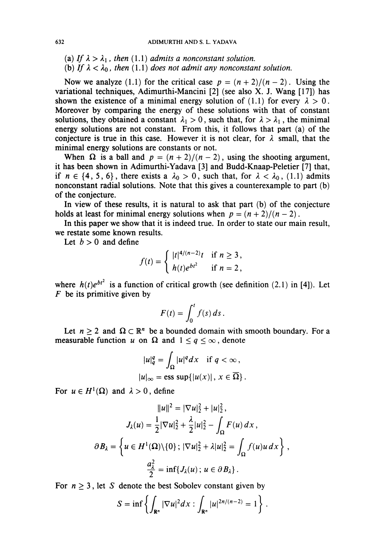- (a) If  $\lambda > \lambda_1$ , then (1.1) admits a nonconstant solution.
- (b) If  $\lambda < \lambda_0$ , then (1.1) does not admit any nonconstant solution.

Now we analyze (1.1) for the critical case  $p = (n + 2)/(n - 2)$ . Using the variational techniques, Adimurthi-Mancini [2] (see also X. J. Wang [17]) has shown the existence of a minimal energy solution of (1.1) for every  $\lambda > 0$ . Moreover by comparing the energy of these solutions with that of constant solutions, they obtained a constant  $\lambda_1 > 0$ , such that, for  $\lambda > \lambda_1$ , the minimal energy solutions are not constant. From this, it follows that part (a) of the conjecture is true in this case. However it is not clear, for  $\lambda$  small, that the minimal energy solutions are constants or not.

When  $\Omega$  is a ball and  $p = (n + 2)/(n - 2)$ , using the shooting argument, it has been shown in Adimurthi-Yadava [3] and Budd-Knaap-Peletier [7] that, if  $n \in \{4, 5, 6\}$ , there exists a  $\lambda_0 > 0$ , such that, for  $\lambda < \lambda_0$ , (1.1) admits nonconstant radial solutions. Note that this gives a counterexample to part (b) of the conjecture.

In view of these results, it is natural to ask that part (b) of the conjecture holds at least for minimal energy solutions when  $p = (n + 2)/(n - 2)$ .

In this paper we show that it is indeed true. In order to state our main result, we restate some known results.

Let  $b > 0$  and define

$$
f(t) = \begin{cases} |t|^{4/(n-2)}t & \text{if } n \ge 3, \\ h(t)e^{bt^2} & \text{if } n = 2, \end{cases}
$$

where  $h(t)e^{bt^2}$  is a function of critical growth (see definition (2.1) in [4]). Let  $F$  be its primitive given by

$$
F(t)=\int_0^t f(s)\,ds.
$$

Let  $n \geq 2$  and  $\Omega \subset \mathbb{R}^n$  be a bounded domain with smooth boundary. For a measurable function u on  $\Omega$  and  $1 \le q \le \infty$ , denote

$$
|u|_q^q = \int_{\Omega} |u|^q dx \quad \text{if } q < \infty,
$$
  

$$
|u|_{\infty} = \text{ess sup}\{|u(x)|, x \in \overline{\Omega}\}\
$$

For  $u \in H^1(\Omega)$  and  $\lambda > 0$ , define

$$
||u||^2 = |\nabla u|_2^2 + |u|_2^2,
$$
  
\n
$$
J_{\lambda}(u) = \frac{1}{2} |\nabla u|_2^2 + \frac{\lambda}{2} |u|_2^2 - \int_{\Omega} F(u) dx,
$$
  
\n
$$
\partial B_{\lambda} = \left\{ u \in H^1(\Omega) \setminus \{0\} ; |\nabla u|_2^2 + \lambda |u|_2^2 = \int_{\Omega} f(u)u dx \right\},
$$
  
\n
$$
\frac{a_{\lambda}^2}{2} = \inf \{ J_{\lambda}(u) ; u \in \partial B_{\lambda} \}.
$$

For  $n \geq 3$ , let S denote the best Sobolev constant given by

$$
S = \inf \left\{ \int_{\mathbf{R}^n} |\nabla u|^2 dx : \int_{\mathbf{R}^n} |u|^{2n/(n-2)} = 1 \right\}.
$$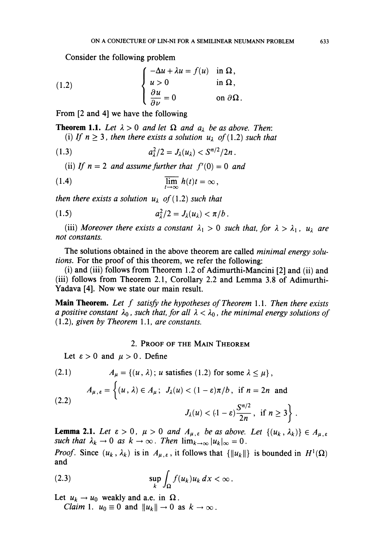Consider the following problem

(1.2) 
$$
\begin{cases}\n-\Delta u + \lambda u = f(u) & \text{in } \Omega, \\
u > 0 & \text{in } \Omega, \\
\frac{\partial u}{\partial \nu} = 0 & \text{on } \partial \Omega.\n\end{cases}
$$

From [2 and 4] we have the following

**Theorem 1.1.** Let  $\lambda > 0$  and let  $\Omega$  and  $a_{\lambda}$  be as above. Then: (i) If  $n \geq 3$ , then there exists a solution  $u_{\lambda}$  of (1.2) such that

(1.3) 
$$
a_{\lambda}^2/2 = J_{\lambda}(u_{\lambda}) < S^{n/2}/2n \, .
$$

(ii) If  $n = 2$  and assume further that  $f'(0) = 0$  and

(1.4) 
$$
\overline{\lim_{t\to\infty}} h(t)t = \infty,
$$

then there exists a solution  $u_{\lambda}$  of (1.2) such that

$$
(1.5) \t\t\t a_{\lambda}^2/2 = J_{\lambda}(u_{\lambda}) < \pi/b.
$$

(iii) Moreover there exists a constant  $\lambda_1 > 0$  such that, for  $\lambda > \lambda_1$ ,  $u_{\lambda}$  are not constants.

The solutions obtained in the above theorem are called *minimal energy solu*tions. For the proof of this theorem, we refer the following:

(i) and (iii) follows from Theorem 1.2 of Adimurthi-Mancini [2] and (ii) and (iii) follows from Theorem 2.1, Corollary 2.2 and Lemma 3.8 of Adimurthi-Yadava [4]. Now we state our main result.

**Main Theorem.** Let f satisfy the hypotheses of Theorem 1.1. Then there exists a positive constant  $\lambda_0$ , such that, for all  $\lambda < \lambda_0$ , the minimal energy solutions of (1.2), given by Theorem 1.1, are constants.

## 2. Proof of the Main Theorem

Let  $\epsilon > 0$  and  $\mu > 0$ . Define

(2.1) 
$$
A_{\mu} = \{(u, \lambda); u \text{ satisfies } (1.2) \text{ for some } \lambda \leq \mu\},
$$

$$
A_{\mu, \varepsilon} = \begin{cases} (u, \lambda) \in A_{\mu}; J_{\lambda}(u) < (1 - \varepsilon)\pi/b, \text{ if } n = 2n \text{ and} \\ 2.2) \end{cases}
$$

$$
J_{\lambda}(u) < (1-\varepsilon)\frac{S^{n/2}}{2n}, \text{ if } n \geq 3\bigg\}.
$$

**Lemma 2.1.** Let  $\varepsilon > 0$ ,  $\mu > 0$  and  $A_{\mu,\varepsilon}$  be as above. Let  $\{(u_k, \lambda_k)\}\in A_{\mu,\varepsilon}$ such that  $\lambda_k \to 0$  as  $k \to \infty$ . Then  $\lim_{k \to \infty} |u_k|_{\infty} = 0$ .

*Proof.* Since  $(u_k, \lambda_k)$  is in  $A_{\mu, \varepsilon}$ , it follows that  $\{\Vert u_k \Vert\}$  is bounded in  $H^1(\Omega)$ and

(2.3) 
$$
\sup_k \int_{\Omega} f(u_k) u_k dx < \infty.
$$

Let  $u_k \to u_0$  weakly and a.e. in  $\Omega$ .

*Claim* 1.  $u_0 \equiv 0$  and  $\|u_k\| \to 0$  as  $k \to \infty$ .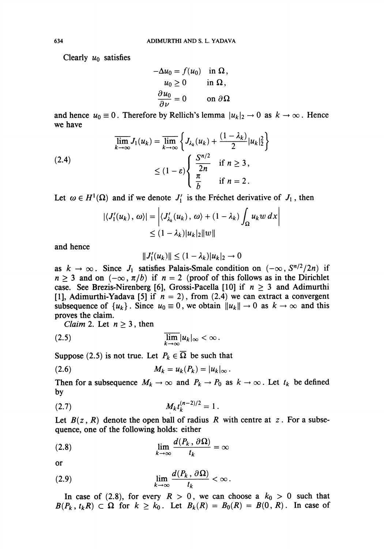Clearly  $u_0$  satisfies

$$
-\Delta u_0 = f(u_0) \text{ in } \Omega, u_0 \ge 0 \text{ in } \Omega, \frac{\partial u_0}{\partial \nu} = 0 \text{ on } \partial \Omega
$$

and hence  $u_0 \equiv 0$ . Therefore by Rellich's lemma  $|u_k|_2 \to 0$  as  $k \to \infty$ . Hence we have

$$
\overline{\lim}_{k \to \infty} J_1(u_k) = \overline{\lim}_{k \to \infty} \left\{ J_{\lambda_k}(u_k) + \frac{(1 - \lambda_k)}{2} |u_k|_2^2 \right\}
$$
\n
$$
\leq (1 - \varepsilon) \left\{ \frac{S^{n/2}}{\frac{2n}{b}} \quad \text{if } n \geq 3, \right\}
$$
\n
$$
\text{if } n = 2.
$$

Let  $\omega \in H^1(\Omega)$  and if we denote  $J'_1$  is the Fréchet derivative of  $J_1$ , then

$$
|\langle J_1'(u_k), \omega \rangle| = \left| \langle J_{\lambda_k}'(u_k), \omega \rangle + (1 - \lambda_k) \int_{\Omega} u_k w \, dx \right|
$$
  
\$\leq (1 - \lambda\_k) |u\_k|\_2 ||w||\$

and hence

$$
||J_1'(u_k)|| \leq (1 - \lambda_k)|u_k|_2 \to 0
$$

as  $k \to \infty$ . Since  $J_1$  satisfies Palais-Smale condition on  $(-\infty, S^{n/2}/2n)$  if  $n \geq 3$  and on  $(-\infty, \pi/b)$  if  $n = 2$  (proof of this follows as in the Dirichlet case. See Brezis-Nirenberg [6], Grossi-Pacella [10] if  $n \geq 3$  and Adimurthi [1], Adimurthi-Yadava [5] if  $n = 2$ ), from (2.4) we can extract a convergent subsequence of  $\{u_k\}$ . Since  $u_0 \equiv 0$ , we obtain  $\|u_k\| \to 0$  as  $k \to \infty$  and this proves the claim.

Claim 2. Let  $n \geq 3$ , then

$$
\lim_{k\to\infty}|u_k|_\infty<\infty.
$$

Suppose (2.5) is not true. Let  $P_k \in \overline{\Omega}$  be such that

$$
(2.6) \t\t\t M_k = u_k(P_k) = |u_k|_{\infty}.
$$

Then for a subsequence  $M_k \to \infty$  and  $P_k \to P_0$  as  $k \to \infty$ . Let  $t_k$  be defined by

$$
(2.7) \t\t M_k t_k^{(n-2)/2} = 1.
$$

Let  $B(z, R)$  denote the open ball of radius R with centre at z. For a subsequence, one of the following holds: either

(2.8) 
$$
\lim_{k \to \infty} \frac{d(P_k, \partial \Omega)}{t_k} = \infty
$$

or

$$
\lim_{k\to\infty}\frac{d(P_k,\,\partial\Omega)}{t_k}<\infty.
$$

In case of (2.8), for every  $R > 0$ , we can choose a  $k_0 > 0$  such that  $B(P_k, t_kR) \subset \Omega$  for  $k \geq k_0$ . Let  $B_k(R) = B_0(R) = B(0, R)$ . In case of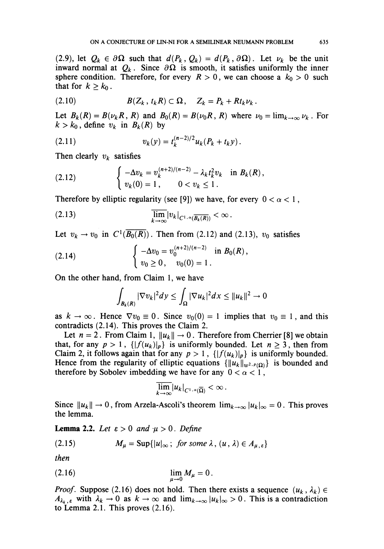(2.9), let  $Q_k \in \partial \Omega$  such that  $d(P_k, Q_k) = d(P_k, \partial \Omega)$ . Let  $\nu_k$  be the unit inward normal at  $Q_k$ . Since  $\partial \Omega$  is smooth, it satisfies uniformly the inner sphere condition. Therefore, for every  $R > 0$ , we can choose a  $k_0 > 0$  such that for  $k \geq k_0$ .

$$
(2.10) \t\t B(Z_k,t_kR)\subset \Omega, \quad Z_k=P_k+Rt_k\nu_k.
$$

Let  $B_k(R) = B(\nu_k R, R)$  and  $B_0(R) = B(\nu_0 R, R)$  where  $\nu_0 = \lim_{k \to \infty} \nu_k$ . For  $k > k_0$ , define  $v_k$  in  $B_k(R)$  by

(2.11) 
$$
v_k(y) = t_k^{(n-2)/2} u_k(P_k + t_k y).
$$

Then clearly  $v_k$  satisfies

(2.12) 
$$
\begin{cases}\n-\Delta v_k = v_k^{(n+2)/(n-2)} - \lambda_k t_k^2 v_k & \text{in } B_k(R), \\
v_k(0) = 1, & 0 < v_k \le 1.\n\end{cases}
$$

Therefore by elliptic regularity (see [9]) we have, for every  $0 < \alpha < 1$ ,

$$
\overline{\lim}_{k\to\infty}|v_k|_{C^{1,\alpha}(\overline{B_k(R)})}<\infty
$$

Let  $v_k \rightarrow v_0$  in  $C^1(\overline{B_0(R)})$ . Then from (2.12) and (2.13),  $v_0$  satisfies

(2.14) 
$$
\begin{cases}\n-\Delta v_0 = v_0^{(n+2)/(n-2)} & \text{in } B_0(R), \\
v_0 \ge 0, \quad v_0(0) = 1.\n\end{cases}
$$

On the other hand, from Claim 1, we have

$$
\int_{B_k(R)} |\nabla v_k|^2 dy \leq \int_{\Omega} |\nabla u_k|^2 dx \leq ||u_k||^2 \to 0
$$

as  $k \to \infty$ . Hence  $\nabla v_0 \equiv 0$ . Since  $v_0(0) = 1$  implies that  $v_0 \equiv 1$ , and this contradicts (2.14). This proves the Claim 2.

Let  $n = 2$ . From Claim 1,  $||u_k|| \rightarrow 0$ . Therefore from Cherrier [8] we obtain that, for any  $p > 1$ ,  ${\|f(u_k)\|_p}$  is uniformly bounded. Let  $n \ge 3$ , then from Claim 2, it follows again that for any  $p > 1$ ,  ${\left\{\left|f(u_k)\right|_p\right\}}$  is uniformly bounded. Hence from the regularity of elliptic equations  $\{\Vert u_k \Vert_{w^{2,p}(\Omega)}\}$  is bounded and therefore by Sobolev imbedding we have for any  $0 < \alpha < 1$ ,

$$
\overline{\lim_{k\to\infty}}|u_k|_{C^{1,\alpha}(\overline{\Omega})}<\infty\,.
$$

Since  $||u_k|| \to 0$ , from Arzela-Ascoli's theorem  $\lim_{k\to\infty} |u_k|_{\infty} = 0$ . This proves the lemma.

**Lemma 2.2.** Let  $\varepsilon > 0$  and  $\mu > 0$ . Define

(2.15) 
$$
M_{\mu} = \text{Sup}\{|u|_{\infty}; \text{ for some } \lambda, (u, \lambda) \in A_{\mu, \varepsilon}\}\
$$

then

$$
\lim_{\mu\to 0}M_{\mu}=0.
$$

*Proof.* Suppose (2.16) does not hold. Then there exists a sequence  $(u_k, \lambda_k) \in$  $A_{\lambda_k, \varepsilon}$  with  $\lambda_k \to 0$  as  $k \to \infty$  and  $\lim_{k \to \infty} |u_k|_{\infty} > 0$ . This is a contradiction to Lemma 2.1. This proves (2.16).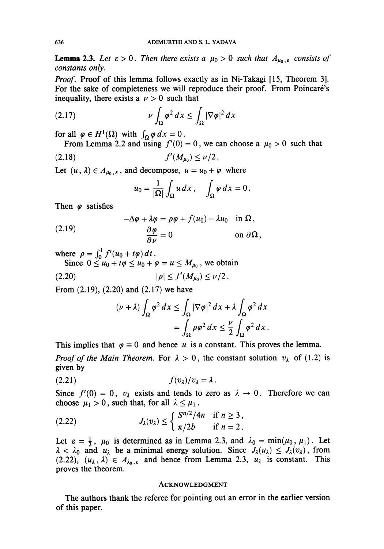**Lemma 2.3.** Let  $\varepsilon > 0$ . Then there exists a  $\mu_0 > 0$  such that  $A_{\mu_0, \varepsilon}$  consists of constants only.

Proof. Proof of this lemma follows exactly as in Ni-Takagi [15, Theorem 3]. For the sake of completeness we will reproduce their proof. From Poincaré's inequality, there exists a  $\nu > 0$  such that

$$
(2.17) \t\t \nu \int_{\Omega} \varphi^2 \, dx \le \int_{\Omega} |\nabla \varphi|^2 \, dx
$$

for all  $\varphi \in H^1(\Omega)$  with  $\int_{\Omega} \varphi dx = 0$ .

From Lemma 2.2 and using  $f'(0) = 0$ , we can choose a  $\mu_0 > 0$  such that

$$
(2.18) \t\t f'(M_{\mu_0}) \leq \nu/2.
$$

Let  $(u, \lambda) \in A_{\mu_0, \varepsilon}$ , and decompose,  $u = u_0 + \varphi$  where

$$
u_0=\frac{1}{|\Omega|}\int_\Omega u\,dx\,,\quad \int_\Omega \varphi\,dx=0\,.
$$

Then  $\varphi$  satisfies

(2.19) 
$$
-\Delta \varphi + \lambda \varphi = \rho \varphi + f(u_0) - \lambda u_0 \quad \text{in } \Omega, \frac{\partial \varphi}{\partial \nu} = 0 \qquad \text{on } \partial \Omega,
$$

where  $\rho = \int_0^1 f'(u_0 + t\varphi) dt$ .

Since  $0 \le u_0 + t\varphi \le u_0 + \varphi = u \le M_{\mu_0}$ , we obtain

$$
(2.20) \t\t |\rho| \le f'(M_{\mu_0}) \le \nu/2.
$$

From (2.19), (2.20) and (2.17) we have

$$
(\nu + \lambda) \int_{\Omega} \varphi^2 dx \le \int_{\Omega} |\nabla \varphi|^2 dx + \lambda \int_{\Omega} \varphi^2 dx
$$
  
= 
$$
\int_{\Omega} \rho \varphi^2 dx \le \frac{\nu}{2} \int_{\Omega} \varphi^2 dx.
$$

This implies that  $\varphi \equiv 0$  and hence u is a constant. This proves the lemma. *Proof of the Main Theorem.* For  $\lambda > 0$ , the constant solution  $v_{\lambda}$  of (1.2) is given by

$$
(2.21) \t\t f(v_\lambda)/v_\lambda = \lambda.
$$

Since  $f'(0) = 0$ ,  $v_{\lambda}$  exists and tends to zero as  $\lambda \to 0$ . Therefore we can choose  $\mu_1 > 0$ , such that, for all  $\lambda \leq \mu_1$ ,

$$
(2.22) \t\t J_{\lambda}(v_{\lambda}) \leq \begin{cases} S^{n/2}/4n & \text{if } n \geq 3, \\ \pi/2b & \text{if } n = 2. \end{cases}
$$

Let  $\varepsilon = \frac{1}{2}$ ,  $\mu_0$  is determined as in Lemma 2.3, and  $\lambda_0 = \min(\mu_0, \mu_1)$ . Let  $\lambda < \lambda_0$  and  $u_\lambda$  be a minimal energy solution. Since  $J_\lambda(u_\lambda) \leq J_\lambda(v_\lambda)$ , from  $(2.22)$ ,  $(u_{\lambda}, \lambda) \in A_{\lambda_0, \varepsilon}$  and hence from Lemma 2.3,  $u_{\lambda}$  is constant. This proves the theorem.

#### Acknowledgment

The authors thank the referee for pointing out an error in the earlier version of this paper.